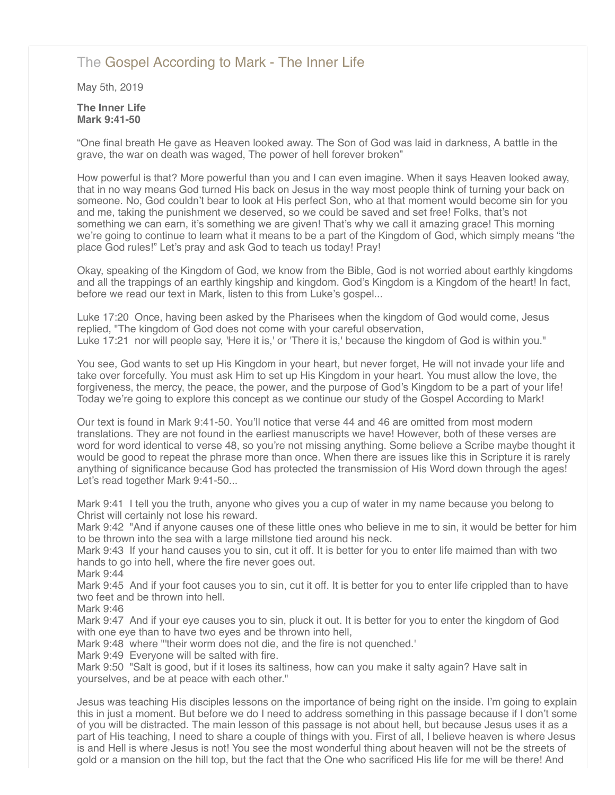# [The Gospel According to Mark - The Inner Life](http://northshorechurch.net/resources/sermons/sermon-notes/449-the-gospel-according-to-mark-the-inner-life)

May 5th, 2019

## **The Inner Life Mark 9:41-50**

"One final breath He gave as Heaven looked away. The Son of God was laid in darkness, A battle in the grave, the war on death was waged, The power of hell forever broken"

How powerful is that? More powerful than you and I can even imagine. When it says Heaven looked away, that in no way means God turned His back on Jesus in the way most people think of turning your back on someone. No, God couldn't bear to look at His perfect Son, who at that moment would become sin for you and me, taking the punishment we deserved, so we could be saved and set free! Folks, that's not something we can earn, it's something we are given! That's why we call it amazing grace! This morning we're going to continue to learn what it means to be a part of the Kingdom of God, which simply means "the place God rules!" Let's pray and ask God to teach us today! Pray!

Okay, speaking of the Kingdom of God, we know from the Bible, God is not worried about earthly kingdoms and all the trappings of an earthly kingship and kingdom. God's Kingdom is a Kingdom of the heart! In fact, before we read our text in Mark, listen to this from Luke's gospel...

Luke 17:20 Once, having been asked by the Pharisees when the kingdom of God would come, Jesus replied, "The kingdom of God does not come with your careful observation, Luke 17:21 nor will people say, 'Here it is,' or 'There it is,' because the kingdom of God is within you."

You see, God wants to set up His Kingdom in your heart, but never forget, He will not invade your life and take over forcefully. You must ask Him to set up His Kingdom in your heart. You must allow the love, the forgiveness, the mercy, the peace, the power, and the purpose of God's Kingdom to be a part of your life! Today we're going to explore this concept as we continue our study of the Gospel According to Mark!

Our text is found in Mark 9:41-50. You'll notice that verse 44 and 46 are omitted from most modern translations. They are not found in the earliest manuscripts we have! However, both of these verses are word for word identical to verse 48, so you're not missing anything. Some believe a Scribe maybe thought it would be good to repeat the phrase more than once. When there are issues like this in Scripture it is rarely anything of significance because God has protected the transmission of His Word down through the ages! Let's read together Mark 9:41-50...

Mark 9:41 I tell you the truth, anyone who gives you a cup of water in my name because you belong to Christ will certainly not lose his reward.

Mark 9:42 "And if anyone causes one of these little ones who believe in me to sin, it would be better for him to be thrown into the sea with a large millstone tied around his neck.

Mark 9:43 If your hand causes you to sin, cut it off. It is better for you to enter life maimed than with two hands to go into hell, where the fire never goes out.

Mark 9:44

Mark 9:45 And if your foot causes you to sin, cut it off. It is better for you to enter life crippled than to have two feet and be thrown into hell.

Mark 9:46

Mark 9:47 And if your eye causes you to sin, pluck it out. It is better for you to enter the kingdom of God with one eye than to have two eyes and be thrown into hell,

Mark 9:48 where "'their worm does not die, and the fire is not quenched.'

Mark 9:49 Everyone will be salted with fire.

Mark 9:50 "Salt is good, but if it loses its saltiness, how can you make it salty again? Have salt in yourselves, and be at peace with each other."

Jesus was teaching His disciples lessons on the importance of being right on the inside. I'm going to explain this in just a moment. But before we do I need to address something in this passage because if I don't some of you will be distracted. The main lesson of this passage is not about hell, but because Jesus uses it as a part of His teaching, I need to share a couple of things with you. First of all, I believe heaven is where Jesus is and Hell is where Jesus is not! You see the most wonderful thing about heaven will not be the streets of gold or a mansion on the hill top, but the fact that the One who sacrificed His life for me will be there! And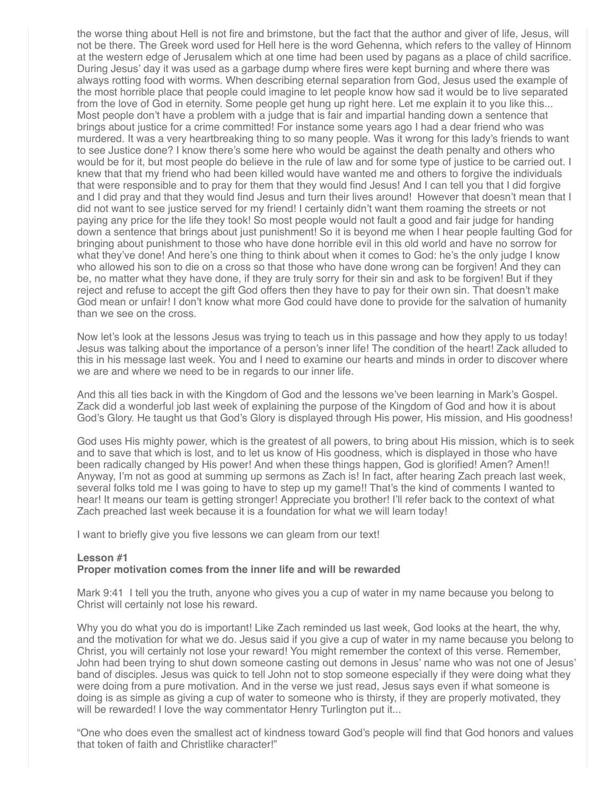the worse thing about Hell is not fire and brimstone, but the fact that the author and giver of life, Jesus, will not be there. The Greek word used for Hell here is the word Gehenna, which refers to the valley of Hinnom at the western edge of Jerusalem which at one time had been used by pagans as a place of child sacrifice. During Jesus' day it was used as a garbage dump where fires were kept burning and where there was always rotting food with worms. When describing eternal separation from God, Jesus used the example of the most horrible place that people could imagine to let people know how sad it would be to live separated from the love of God in eternity. Some people get hung up right here. Let me explain it to you like this... Most people don't have a problem with a judge that is fair and impartial handing down a sentence that brings about justice for a crime committed! For instance some years ago I had a dear friend who was murdered. It was a very heartbreaking thing to so many people. Was it wrong for this lady's friends to want to see Justice done? I know there's some here who would be against the death penalty and others who would be for it, but most people do believe in the rule of law and for some type of justice to be carried out. I knew that that my friend who had been killed would have wanted me and others to forgive the individuals that were responsible and to pray for them that they would find Jesus! And I can tell you that I did forgive and I did pray and that they would find Jesus and turn their lives around! However that doesn't mean that I did not want to see justice served for my friend! I certainly didn't want them roaming the streets or not paying any price for the life they took! So most people would not fault a good and fair judge for handing down a sentence that brings about just punishment! So it is beyond me when I hear people faulting God for bringing about punishment to those who have done horrible evil in this old world and have no sorrow for what they've done! And here's one thing to think about when it comes to God: he's the only judge I know who allowed his son to die on a cross so that those who have done wrong can be forgiven! And they can be, no matter what they have done, if they are truly sorry for their sin and ask to be forgiven! But if they reject and refuse to accept the gift God offers then they have to pay for their own sin. That doesn't make God mean or unfair! I don't know what more God could have done to provide for the salvation of humanity than we see on the cross.

Now let's look at the lessons Jesus was trying to teach us in this passage and how they apply to us today! Jesus was talking about the importance of a person's inner life! The condition of the heart! Zack alluded to this in his message last week. You and I need to examine our hearts and minds in order to discover where we are and where we need to be in regards to our inner life.

And this all ties back in with the Kingdom of God and the lessons we've been learning in Mark's Gospel. Zack did a wonderful job last week of explaining the purpose of the Kingdom of God and how it is about God's Glory. He taught us that God's Glory is displayed through His power, His mission, and His goodness!

God uses His mighty power, which is the greatest of all powers, to bring about His mission, which is to seek and to save that which is lost, and to let us know of His goodness, which is displayed in those who have been radically changed by His power! And when these things happen, God is glorified! Amen? Amen!! Anyway, I'm not as good at summing up sermons as Zach is! In fact, after hearing Zach preach last week, several folks told me I was going to have to step up my game!! That's the kind of comments I wanted to hear! It means our team is getting stronger! Appreciate you brother! I'll refer back to the context of what Zach preached last week because it is a foundation for what we will learn today!

I want to briefly give you five lessons we can gleam from our text!

# **Lesson #1 Proper motivation comes from the inner life and will be rewarded**

Mark 9:41 I tell you the truth, anyone who gives you a cup of water in my name because you belong to Christ will certainly not lose his reward.

Why you do what you do is important! Like Zach reminded us last week, God looks at the heart, the why, and the motivation for what we do. Jesus said if you give a cup of water in my name because you belong to Christ, you will certainly not lose your reward! You might remember the context of this verse. Remember, John had been trying to shut down someone casting out demons in Jesus' name who was not one of Jesus' band of disciples. Jesus was quick to tell John not to stop someone especially if they were doing what they were doing from a pure motivation. And in the verse we just read, Jesus says even if what someone is doing is as simple as giving a cup of water to someone who is thirsty, if they are properly motivated, they will be rewarded! I love the way commentator Henry Turlington put it...

"One who does even the smallest act of kindness toward God's people will find that God honors and values that token of faith and Christlike character!"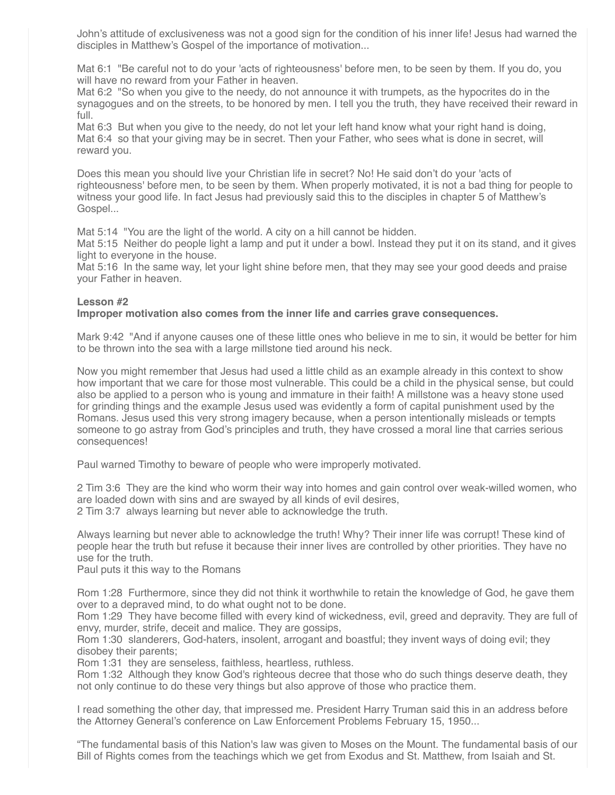John's attitude of exclusiveness was not a good sign for the condition of his inner life! Jesus had warned the disciples in Matthew's Gospel of the importance of motivation...

Mat 6:1 "Be careful not to do your 'acts of righteousness' before men, to be seen by them. If you do, you will have no reward from your Father in heaven.

Mat 6:2 "So when you give to the needy, do not announce it with trumpets, as the hypocrites do in the synagogues and on the streets, to be honored by men. I tell you the truth, they have received their reward in full.

Mat 6:3 But when you give to the needy, do not let your left hand know what your right hand is doing, Mat 6:4 so that your giving may be in secret. Then your Father, who sees what is done in secret, will reward you.

Does this mean you should live your Christian life in secret? No! He said don't do your 'acts of righteousness' before men, to be seen by them. When properly motivated, it is not a bad thing for people to witness your good life. In fact Jesus had previously said this to the disciples in chapter 5 of Matthew's Gospel...

Mat 5:14 "You are the light of the world. A city on a hill cannot be hidden.

Mat 5:15 Neither do people light a lamp and put it under a bowl. Instead they put it on its stand, and it gives light to everyone in the house.

Mat 5:16 In the same way, let your light shine before men, that they may see your good deeds and praise your Father in heaven.

## **Lesson #2**

## **Improper motivation also comes from the inner life and carries grave consequences.**

Mark 9:42 "And if anyone causes one of these little ones who believe in me to sin, it would be better for him to be thrown into the sea with a large millstone tied around his neck.

Now you might remember that Jesus had used a little child as an example already in this context to show how important that we care for those most vulnerable. This could be a child in the physical sense, but could also be applied to a person who is young and immature in their faith! A millstone was a heavy stone used for grinding things and the example Jesus used was evidently a form of capital punishment used by the Romans. Jesus used this very strong imagery because, when a person intentionally misleads or tempts someone to go astray from God's principles and truth, they have crossed a moral line that carries serious consequences!

Paul warned Timothy to beware of people who were improperly motivated.

2 Tim 3:6 They are the kind who worm their way into homes and gain control over weak-willed women, who are loaded down with sins and are swayed by all kinds of evil desires, 2 Tim 3:7 always learning but never able to acknowledge the truth.

Always learning but never able to acknowledge the truth! Why? Their inner life was corrupt! These kind of people hear the truth but refuse it because their inner lives are controlled by other priorities. They have no use for the truth.

Paul puts it this way to the Romans

Rom 1:28 Furthermore, since they did not think it worthwhile to retain the knowledge of God, he gave them over to a depraved mind, to do what ought not to be done.

Rom 1:29 They have become filled with every kind of wickedness, evil, greed and depravity. They are full of envy, murder, strife, deceit and malice. They are gossips,

Rom 1:30 slanderers, God-haters, insolent, arrogant and boastful; they invent ways of doing evil; they disobey their parents;

Rom 1:31 they are senseless, faithless, heartless, ruthless.

Rom 1:32 Although they know God's righteous decree that those who do such things deserve death, they not only continue to do these very things but also approve of those who practice them.

I read something the other day, that impressed me. President Harry Truman said this in an address before the Attorney General's conference on Law Enforcement Problems February 15, 1950...

"The fundamental basis of this Nation's law was given to Moses on the Mount. The fundamental basis of our Bill of Rights comes from the teachings which we get from Exodus and St. Matthew, from Isaiah and St.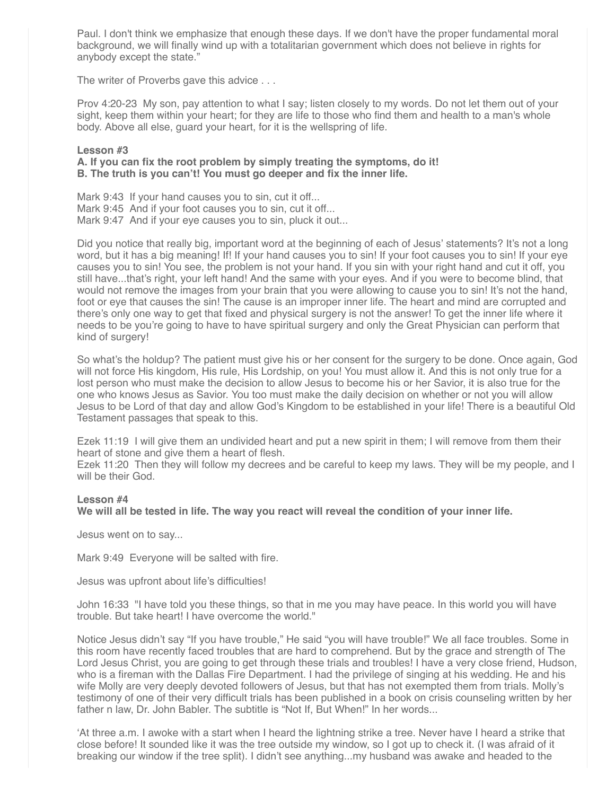Paul. I don't think we emphasize that enough these days. If we don't have the proper fundamental moral background, we will finally wind up with a totalitarian government which does not believe in rights for anybody except the state."

The writer of Proverbs gave this advice . . .

Prov 4:20-23 My son, pay attention to what I say; listen closely to my words. Do not let them out of your sight, keep them within your heart; for they are life to those who find them and health to a man's whole body. Above all else, guard your heart, for it is the wellspring of life.

# **Lesson #3**

# **A. If you can fix the root problem by simply treating the symptoms, do it! B. The truth is you can't! You must go deeper and fix the inner life.**

Mark 9:43 If your hand causes you to sin, cut it off... Mark 9:45 And if your foot causes you to sin, cut it off... Mark 9:47 And if your eye causes you to sin, pluck it out...

Did you notice that really big, important word at the beginning of each of Jesus' statements? It's not a long word, but it has a big meaning! If! If your hand causes you to sin! If your foot causes you to sin! If your eye causes you to sin! You see, the problem is not your hand. If you sin with your right hand and cut it off, you still have...that's right, your left hand! And the same with your eyes. And if you were to become blind, that would not remove the images from your brain that you were allowing to cause you to sin! It's not the hand, foot or eye that causes the sin! The cause is an improper inner life. The heart and mind are corrupted and there's only one way to get that fixed and physical surgery is not the answer! To get the inner life where it needs to be you're going to have to have spiritual surgery and only the Great Physician can perform that kind of surgery!

So what's the holdup? The patient must give his or her consent for the surgery to be done. Once again, God will not force His kingdom, His rule, His Lordship, on you! You must allow it. And this is not only true for a lost person who must make the decision to allow Jesus to become his or her Savior, it is also true for the one who knows Jesus as Savior. You too must make the daily decision on whether or not you will allow Jesus to be Lord of that day and allow God's Kingdom to be established in your life! There is a beautiful Old Testament passages that speak to this.

Ezek 11:19 I will give them an undivided heart and put a new spirit in them; I will remove from them their heart of stone and give them a heart of flesh.

Ezek 11:20 Then they will follow my decrees and be careful to keep my laws. They will be my people, and I will be their God.

# **Lesson #4**

**We will all be tested in life. The way you react will reveal the condition of your inner life.**

Jesus went on to say...

Mark 9:49 Everyone will be salted with fire.

Jesus was upfront about life's difficulties!

John 16:33 "I have told you these things, so that in me you may have peace. In this world you will have trouble. But take heart! I have overcome the world."

Notice Jesus didn't say "If you have trouble," He said "you will have trouble!" We all face troubles. Some in this room have recently faced troubles that are hard to comprehend. But by the grace and strength of The Lord Jesus Christ, you are going to get through these trials and troubles! I have a very close friend, Hudson, who is a fireman with the Dallas Fire Department. I had the privilege of singing at his wedding. He and his wife Molly are very deeply devoted followers of Jesus, but that has not exempted them from trials. Molly's testimony of one of their very difficult trials has been published in a book on crisis counseling written by her father n law, Dr. John Babler. The subtitle is "Not If, But When!" In her words...

'At three a.m. I awoke with a start when I heard the lightning strike a tree. Never have I heard a strike that close before! It sounded like it was the tree outside my window, so I got up to check it. (I was afraid of it breaking our window if the tree split). I didn't see anything...my husband was awake and headed to the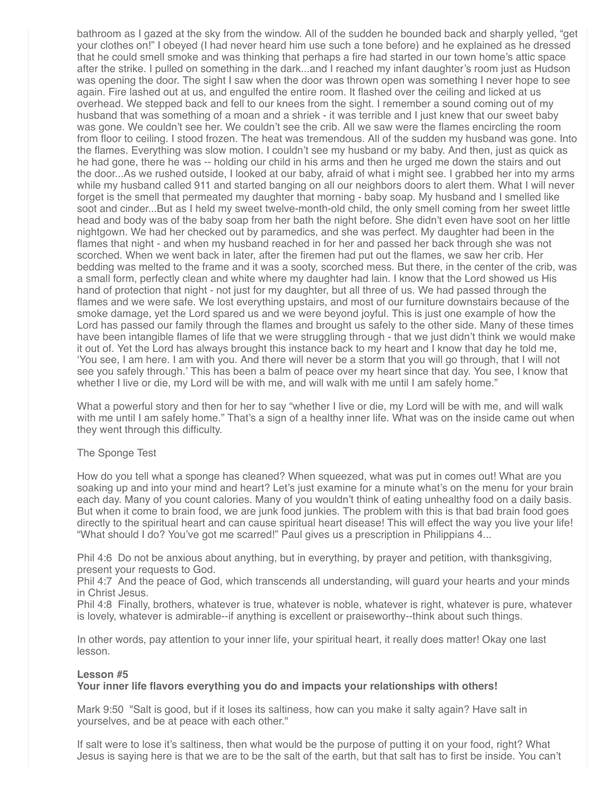bathroom as I gazed at the sky from the window. All of the sudden he bounded back and sharply yelled, "get your clothes on!" I obeyed (I had never heard him use such a tone before) and he explained as he dressed that he could smell smoke and was thinking that perhaps a fire had started in our town home's attic space after the strike. I pulled on something in the dark...and I reached my infant daughter's room just as Hudson was opening the door. The sight I saw when the door was thrown open was something I never hope to see again. Fire lashed out at us, and engulfed the entire room. It flashed over the ceiling and licked at us overhead. We stepped back and fell to our knees from the sight. I remember a sound coming out of my husband that was something of a moan and a shriek - it was terrible and I just knew that our sweet baby was gone. We couldn't see her. We couldn't see the crib. All we saw were the flames encircling the room from floor to ceiling. I stood frozen. The heat was tremendous. All of the sudden my husband was gone. Into the flames. Everything was slow motion. I couldn't see my husband or my baby. And then, just as quick as he had gone, there he was -- holding our child in his arms and then he urged me down the stairs and out the door...As we rushed outside, I looked at our baby, afraid of what i might see. I grabbed her into my arms while my husband called 911 and started banging on all our neighbors doors to alert them. What I will never forget is the smell that permeated my daughter that morning - baby soap. My husband and I smelled like soot and cinder...But as I held my sweet twelve-month-old child, the only smell coming from her sweet little head and body was of the baby soap from her bath the night before. She didn't even have soot on her little nightgown. We had her checked out by paramedics, and she was perfect. My daughter had been in the flames that night - and when my husband reached in for her and passed her back through she was not scorched. When we went back in later, after the firemen had put out the flames, we saw her crib. Her bedding was melted to the frame and it was a sooty, scorched mess. But there, in the center of the crib, was a small form, perfectly clean and white where my daughter had lain. I know that the Lord showed us His hand of protection that night - not just for my daughter, but all three of us. We had passed through the flames and we were safe. We lost everything upstairs, and most of our furniture downstairs because of the smoke damage, yet the Lord spared us and we were beyond joyful. This is just one example of how the Lord has passed our family through the flames and brought us safely to the other side. Many of these times have been intangible flames of life that we were struggling through - that we just didn't think we would make it out of. Yet the Lord has always brought this instance back to my heart and I know that day he told me, 'You see, I am here. I am with you. And there will never be a storm that you will go through, that I will not see you safely through.' This has been a balm of peace over my heart since that day. You see, I know that whether I live or die, my Lord will be with me, and will walk with me until I am safely home."

What a powerful story and then for her to say "whether I live or die, my Lord will be with me, and will walk with me until I am safely home." That's a sign of a healthy inner life. What was on the inside came out when they went through this difficulty.

# The Sponge Test

How do you tell what a sponge has cleaned? When squeezed, what was put in comes out! What are you soaking up and into your mind and heart? Let's just examine for a minute what's on the menu for your brain each day. Many of you count calories. Many of you wouldn't think of eating unhealthy food on a daily basis. But when it come to brain food, we are junk food junkies. The problem with this is that bad brain food goes directly to the spiritual heart and can cause spiritual heart disease! This will effect the way you live your life! "What should I do? You've got me scarred!" Paul gives us a prescription in Philippians 4...

Phil 4:6 Do not be anxious about anything, but in everything, by prayer and petition, with thanksgiving, present your requests to God.

Phil 4:7 And the peace of God, which transcends all understanding, will guard your hearts and your minds in Christ Jesus.

Phil 4:8 Finally, brothers, whatever is true, whatever is noble, whatever is right, whatever is pure, whatever is lovely, whatever is admirable--if anything is excellent or praiseworthy--think about such things.

In other words, pay attention to your inner life, your spiritual heart, it really does matter! Okay one last lesson.

### **Lesson #5**

### **Your inner life flavors everything you do and impacts your relationships with others!**

Mark 9:50 "Salt is good, but if it loses its saltiness, how can you make it salty again? Have salt in yourselves, and be at peace with each other."

If salt were to lose it's saltiness, then what would be the purpose of putting it on your food, right? What Jesus is saying here is that we are to be the salt of the earth, but that salt has to first be inside. You can't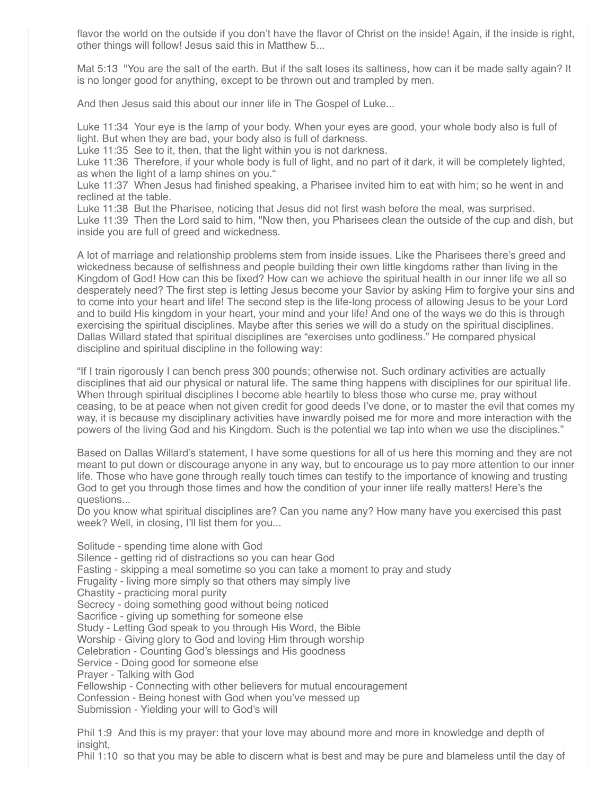flavor the world on the outside if you don't have the flavor of Christ on the inside! Again, if the inside is right, other things will follow! Jesus said this in Matthew 5...

Mat 5:13 "You are the salt of the earth. But if the salt loses its saltiness, how can it be made salty again? It is no longer good for anything, except to be thrown out and trampled by men.

And then Jesus said this about our inner life in The Gospel of Luke...

Luke 11:34 Your eye is the lamp of your body. When your eyes are good, your whole body also is full of light. But when they are bad, your body also is full of darkness.

Luke 11:35 See to it, then, that the light within you is not darkness.

Luke 11:36 Therefore, if your whole body is full of light, and no part of it dark, it will be completely lighted, as when the light of a lamp shines on you."

Luke 11:37 When Jesus had finished speaking, a Pharisee invited him to eat with him; so he went in and reclined at the table.

Luke 11:38 But the Pharisee, noticing that Jesus did not first wash before the meal, was surprised. Luke 11:39 Then the Lord said to him, "Now then, you Pharisees clean the outside of the cup and dish, but inside you are full of greed and wickedness.

A lot of marriage and relationship problems stem from inside issues. Like the Pharisees there's greed and wickedness because of selfishness and people building their own little kingdoms rather than living in the Kingdom of God! How can this be fixed? How can we achieve the spiritual health in our inner life we all so desperately need? The first step is letting Jesus become your Savior by asking Him to forgive your sins and to come into your heart and life! The second step is the life-long process of allowing Jesus to be your Lord and to build His kingdom in your heart, your mind and your life! And one of the ways we do this is through exercising the spiritual disciplines. Maybe after this series we will do a study on the spiritual disciplines. Dallas Willard stated that spiritual disciplines are "exercises unto godliness." He compared physical discipline and spiritual discipline in the following way:

"If I train rigorously I can bench press 300 pounds; otherwise not. Such ordinary activities are actually disciplines that aid our physical or natural life. The same thing happens with disciplines for our spiritual life. When through spiritual disciplines I become able heartily to bless those who curse me, pray without ceasing, to be at peace when not given credit for good deeds I've done, or to master the evil that comes my way, it is because my disciplinary activities have inwardly poised me for more and more interaction with the powers of the living God and his Kingdom. Such is the potential we tap into when we use the disciplines."

Based on Dallas Willard's statement, I have some questions for all of us here this morning and they are not meant to put down or discourage anyone in any way, but to encourage us to pay more attention to our inner life. Those who have gone through really touch times can testify to the importance of knowing and trusting God to get you through those times and how the condition of your inner life really matters! Here's the questions...

Do you know what spiritual disciplines are? Can you name any? How many have you exercised this past week? Well, in closing, I'll list them for you...

Solitude - spending time alone with God Silence - getting rid of distractions so you can hear God Fasting - skipping a meal sometime so you can take a moment to pray and study Frugality - living more simply so that others may simply live Chastity - practicing moral purity Secrecy - doing something good without being noticed Sacrifice - giving up something for someone else Study - Letting God speak to you through His Word, the Bible Worship - Giving glory to God and loving Him through worship Celebration - Counting God's blessings and His goodness Service - Doing good for someone else Prayer - Talking with God Fellowship - Connecting with other believers for mutual encouragement Confession - Being honest with God when you've messed up Submission - Yielding your will to God's will

Phil 1:9 And this is my prayer: that your love may abound more and more in knowledge and depth of insight,

Phil 1:10 so that you may be able to discern what is best and may be pure and blameless until the day of